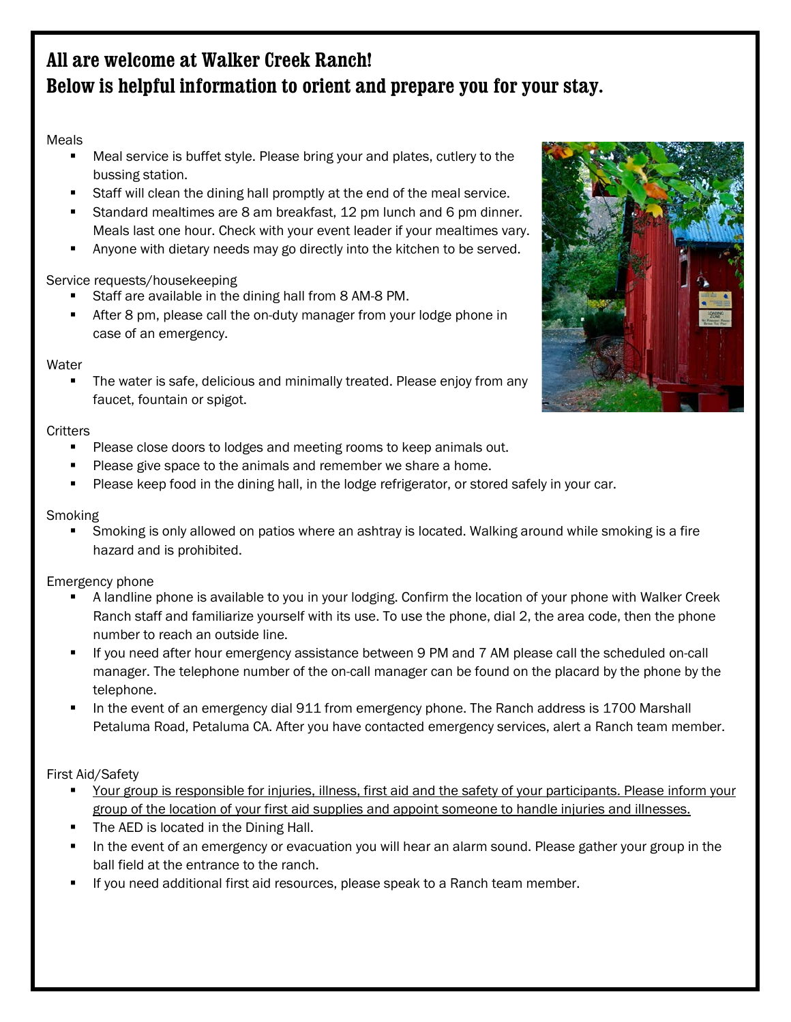# **All are welcome at Walker Creek Ranch! Below is helpful information to orient and prepare you for your stay.**

# Meals

- Meal service is buffet style. Please bring your and plates, cutlery to the bussing station.
- Staff will clean the dining hall promptly at the end of the meal service.
- Standard mealtimes are 8 am breakfast, 12 pm lunch and 6 pm dinner. Meals last one hour. Check with your event leader if your mealtimes vary.
- Anyone with dietary needs may go directly into the kitchen to be served.

## Service requests/housekeeping

- Staff are available in the dining hall from 8 AM-8 PM.
- After 8 pm, please call the on-duty manager from your lodge phone in case of an emergency.

## **Water**

 The water is safe, delicious and minimally treated. Please enjoy from any faucet, fountain or spigot.

## **Critters**

- Please close doors to lodges and meeting rooms to keep animals out.
- Please give space to the animals and remember we share a home.
- Please keep food in the dining hall, in the lodge refrigerator, or stored safely in your car.

## Smoking

 Smoking is only allowed on patios where an ashtray is located. Walking around while smoking is a fire hazard and is prohibited.

# Emergency phone

- A landline phone is available to you in your lodging. Confirm the location of your phone with Walker Creek Ranch staff and familiarize yourself with its use. To use the phone, dial 2, the area code, then the phone number to reach an outside line.
- If you need after hour emergency assistance between 9 PM and 7 AM please call the scheduled on-call manager. The telephone number of the on-call manager can be found on the placard by the phone by the telephone.
- In the event of an emergency dial 911 from emergency phone. The Ranch address is 1700 Marshall Petaluma Road, Petaluma CA. After you have contacted emergency services, alert a Ranch team member.

First Aid/Safety

- Your group is responsible for injuries, illness, first aid and the safety of your participants. Please inform your group of the location of your first aid supplies and appoint someone to handle injuries and illnesses.
- **The AED is located in the Dining Hall.**
- In the event of an emergency or evacuation you will hear an alarm sound. Please gather your group in the ball field at the entrance to the ranch.
- If you need additional first aid resources, please speak to a Ranch team member.